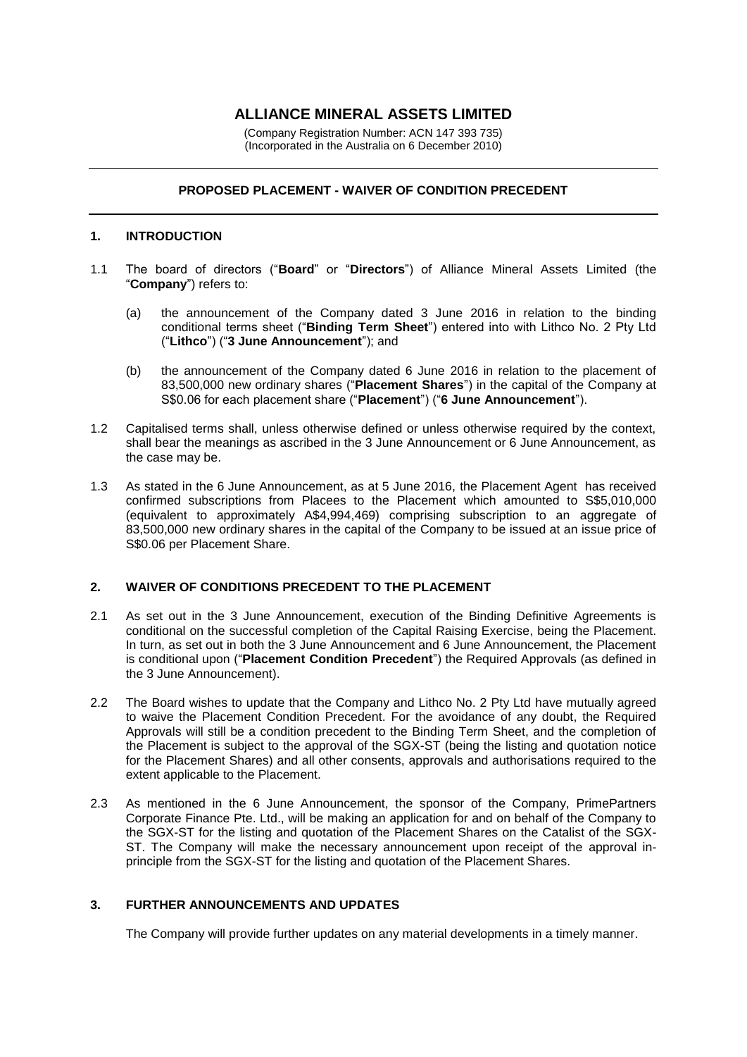# **ALLIANCE MINERAL ASSETS LIMITED**

(Company Registration Number: ACN 147 393 735) (Incorporated in the Australia on 6 December 2010)

## **PROPOSED PLACEMENT - WAIVER OF CONDITION PRECEDENT**

#### **1. INTRODUCTION**

- 1.1 The board of directors ("**Board**" or "**Directors**") of Alliance Mineral Assets Limited (the "**Company**") refers to:
	- (a) the announcement of the Company dated 3 June 2016 in relation to the binding conditional terms sheet ("**Binding Term Sheet**") entered into with Lithco No. 2 Pty Ltd ("**Lithco**") ("**3 June Announcement**"); and
	- (b) the announcement of the Company dated 6 June 2016 in relation to the placement of 83,500,000 new ordinary shares ("**Placement Shares**") in the capital of the Company at S\$0.06 for each placement share ("**Placement**") ("**6 June Announcement**").
- 1.2 Capitalised terms shall, unless otherwise defined or unless otherwise required by the context, shall bear the meanings as ascribed in the 3 June Announcement or 6 June Announcement, as the case may be.
- 1.3 As stated in the 6 June Announcement, as at 5 June 2016, the Placement Agent has received confirmed subscriptions from Placees to the Placement which amounted to S\$5,010,000 (equivalent to approximately A\$4,994,469) comprising subscription to an aggregate of 83,500,000 new ordinary shares in the capital of the Company to be issued at an issue price of S\$0.06 per Placement Share.

## **2. WAIVER OF CONDITIONS PRECEDENT TO THE PLACEMENT**

- 2.1 As set out in the 3 June Announcement, execution of the Binding Definitive Agreements is conditional on the successful completion of the Capital Raising Exercise, being the Placement. In turn, as set out in both the 3 June Announcement and 6 June Announcement, the Placement is conditional upon ("**Placement Condition Precedent**") the Required Approvals (as defined in the 3 June Announcement).
- 2.2 The Board wishes to update that the Company and Lithco No. 2 Pty Ltd have mutually agreed to waive the Placement Condition Precedent. For the avoidance of any doubt, the Required Approvals will still be a condition precedent to the Binding Term Sheet, and the completion of the Placement is subject to the approval of the SGX-ST (being the listing and quotation notice for the Placement Shares) and all other consents, approvals and authorisations required to the extent applicable to the Placement.
- 2.3 As mentioned in the 6 June Announcement, the sponsor of the Company, PrimePartners Corporate Finance Pte. Ltd., will be making an application for and on behalf of the Company to the SGX-ST for the listing and quotation of the Placement Shares on the Catalist of the SGX-ST. The Company will make the necessary announcement upon receipt of the approval inprinciple from the SGX-ST for the listing and quotation of the Placement Shares.

## **3. FURTHER ANNOUNCEMENTS AND UPDATES**

The Company will provide further updates on any material developments in a timely manner.